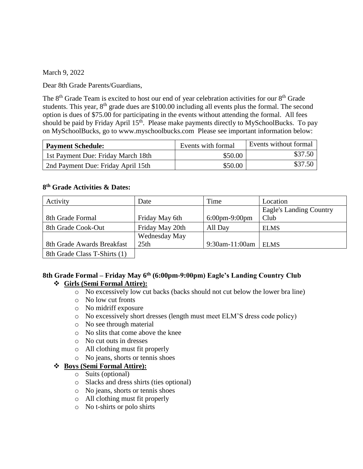March 9, 2022

Dear 8th Grade Parents/Guardians,

The 8<sup>th</sup> Grade Team is excited to host our end of year celebration activities for our 8<sup>th</sup> Grade students. This year,  $8<sup>th</sup>$  grade dues are \$100.00 including all events plus the formal. The second option is dues of \$75.00 for participating in the events without attending the formal. All fees should be paid by Friday April 15<sup>th</sup>. Please make payments directly to MySchoolBucks. To pay on MySchoolBucks, go to www.myschoolbucks.com Please see important information below:

| <b>Payment Schedule:</b>           | Events with formal | Events without formal |
|------------------------------------|--------------------|-----------------------|
| 1st Payment Due: Friday March 18th | \$50.00            | \$37.50               |
| 2nd Payment Due: Friday April 15th | \$50.00            | \$37.50               |

#### **8 th Grade Activities & Dates:**

| Activity                     | Date            | Time             | Location                |
|------------------------------|-----------------|------------------|-------------------------|
|                              |                 |                  | Eagle's Landing Country |
| 8th Grade Formal             | Friday May 6th  | $6:00$ pm-9:00pm | Club                    |
| 8th Grade Cook-Out           | Friday May 20th | All Day          | <b>ELMS</b>             |
|                              | Wednesday May   |                  |                         |
| 8th Grade Awards Breakfast   | 25th            | 9:30am-11:00am   | <b>ELMS</b>             |
| 8th Grade Class T-Shirts (1) |                 |                  |                         |

#### **8th Grade Formal – Friday May 6th (6:00pm-9:00pm) Eagle's Landing Country Club Girls (Semi Formal Attire):**

- o No excessively low cut backs (backs should not cut below the lower bra line)
- o No low cut fronts
- o No midriff exposure
- o No excessively short dresses (length must meet ELM'S dress code policy)
- o No see through material
- o No slits that come above the knee
- o No cut outs in dresses
- o All clothing must fit properly
- o No jeans, shorts or tennis shoes

# **Boys (Semi Formal Attire):**

- o Suits (optional)
- o Slacks and dress shirts (ties optional)
- o No jeans, shorts or tennis shoes
- o All clothing must fit properly
- o No t-shirts or polo shirts